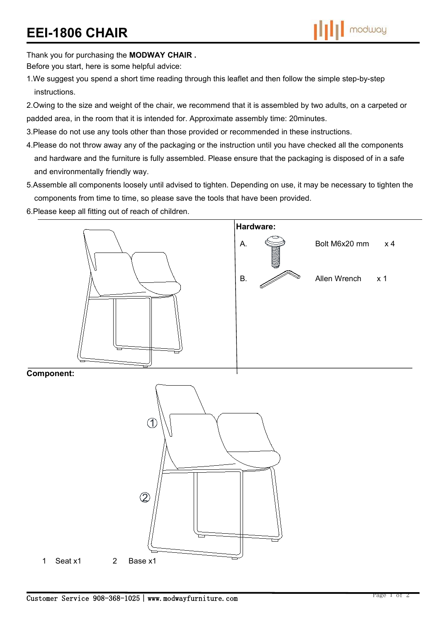Thank you for purchasing the **MODWAY CHAIR .**

Before you start, here is some helpful advice:

- 1.We suggest you spend a short time reading through this leaflet and then follow the simple step-by-step instructions.
- 2.Owing to the size and weight of the chair, we recommend that it is assembled by two adults, on a carpeted or padded area, in the room that it is intended for. Approximate assembly time: 20minutes.
- 3.Please do not use any tools other than those provided or recommended in these instructions.
- 4.Please do not throw away any of the packaging or the instruction until you have checked all the components and hardware and the furniture is fully assembled. Please ensure that the packaging is disposed of in a safe and environmentally friendly way.
- 5.Assemble all components loosely until advised to tighten. Depending on use, it may be necessary to tighten the components from time to time, so please save the tools that have been provided.
- 6.Please keep all fitting out of reach of children.